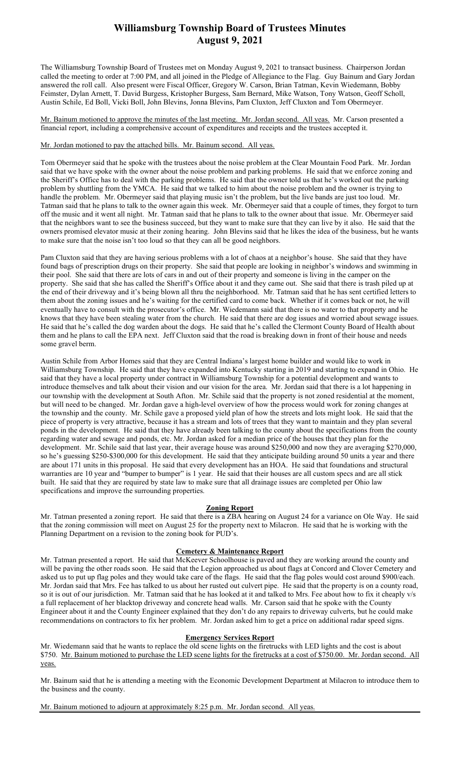# Williamsburg Township Board of Trustees Minutes August 9, 2021

The Williamsburg Township Board of Trustees met on Monday August 9, 2021 to transact business. Chairperson Jordan called the meeting to order at 7:00 PM, and all joined in the Pledge of Allegiance to the Flag. Guy Bainum and Gary Jordan answered the roll call. Also present were Fiscal Officer, Gregory W. Carson, Brian Tatman, Kevin Wiedemann, Bobby Feimster, Dylan Arnett, T. David Burgess, Kristopher Burgess, Sam Bernard, Mike Watson, Tony Watson, Geoff Scholl, Austin Schile, Ed Boll, Vicki Boll, John Blevins, Jonna Blevins, Pam Cluxton, Jeff Cluxton and Tom Obermeyer.

Mr. Bainum motioned to approve the minutes of the last meeting. Mr. Jordan second. All yeas. Mr. Carson presented a financial report, including a comprehensive account of expenditures and receipts and the trustees accepted it.

## Mr. Jordan motioned to pay the attached bills. Mr. Bainum second. All yeas.

Tom Obermeyer said that he spoke with the trustees about the noise problem at the Clear Mountain Food Park. Mr. Jordan said that we have spoke with the owner about the noise problem and parking problems. He said that we enforce zoning and the Sheriff's Office has to deal with the parking problems. He said that the owner told us that he's worked out the parking problem by shuttling from the YMCA. He said that we talked to him about the noise problem and the owner is trying to handle the problem. Mr. Obermeyer said that playing music isn't the problem, but the live bands are just too loud. Mr. Tatman said that he plans to talk to the owner again this week. Mr. Obermeyer said that a couple of times, they forgot to turn off the music and it went all night. Mr. Tatman said that he plans to talk to the owner about that issue. Mr. Obermeyer said that the neighbors want to see the business succeed, but they want to make sure that they can live by it also. He said that the owners promised elevator music at their zoning hearing. John Blevins said that he likes the idea of the business, but he wants to make sure that the noise isn't too loud so that they can all be good neighbors.

Pam Cluxton said that they are having serious problems with a lot of chaos at a neighbor's house. She said that they have found bags of prescription drugs on their property. She said that people are looking in neighbor's windows and swimming in their pool. She said that there are lots of cars in and out of their property and someone is living in the camper on the property. She said that she has called the Sheriff's Office about it and they came out. She said that there is trash piled up at the end of their driveway and it's being blown all thru the neighborhood. Mr. Tatman said that he has sent certified letters to them about the zoning issues and he's waiting for the certified card to come back. Whether if it comes back or not, he will eventually have to consult with the prosecutor's office. Mr. Wiedemann said that there is no water to that property and he knows that they have been stealing water from the church. He said that there are dog issues and worried about sewage issues. He said that he's called the dog warden about the dogs. He said that he's called the Clermont County Board of Health about them and he plans to call the EPA next. Jeff Cluxton said that the road is breaking down in front of their house and needs some gravel berm.

Austin Schile from Arbor Homes said that they are Central Indiana's largest home builder and would like to work in Williamsburg Township. He said that they have expanded into Kentucky starting in 2019 and starting to expand in Ohio. He said that they have a local property under contract in Williamsburg Township for a potential development and wants to introduce themselves and talk about their vision and our vision for the area. Mr. Jordan said that there is a lot happening in our township with the development at South Afton. Mr. Schile said that the property is not zoned residential at the moment, but will need to be changed. Mr. Jordan gave a high-level overview of how the process would work for zoning changes at the township and the county. Mr. Schile gave a proposed yield plan of how the streets and lots might look. He said that the piece of property is very attractive, because it has a stream and lots of trees that they want to maintain and they plan several ponds in the development. He said that they have already been talking to the county about the specifications from the county regarding water and sewage and ponds, etc. Mr. Jordan asked for a median price of the houses that they plan for the development. Mr. Schile said that last year, their average house was around \$250,000 and now they are averaging \$270,000, so he's guessing \$250-\$300,000 for this development. He said that they anticipate building around 50 units a year and there are about 171 units in this proposal. He said that every development has an HOA. He said that foundations and structural warranties are 10 year and "bumper to bumper" is 1 year. He said that their houses are all custom specs and are all stick built. He said that they are required by state law to make sure that all drainage issues are completed per Ohio law specifications and improve the surrounding properties.

## Zoning Report

Mr. Tatman presented a zoning report. He said that there is a ZBA hearing on August 24 for a variance on Ole Way. He said that the zoning commission will meet on August 25 for the property next to Milacron. He said that he is working with the Planning Department on a revision to the zoning book for PUD's.

#### Cemetery & Maintenance Report

Mr. Tatman presented a report. He said that McKeever Schoolhouse is paved and they are working around the county and will be paving the other roads soon. He said that the Legion approached us about flags at Concord and Clover Cemetery and asked us to put up flag poles and they would take care of the flags. He said that the flag poles would cost around \$900/each. Mr. Jordan said that Mrs. Fee has talked to us about her rusted out culvert pipe. He said that the property is on a county road, so it is out of our jurisdiction. Mr. Tatman said that he has looked at it and talked to Mrs. Fee about how to fix it cheaply v/s a full replacement of her blacktop driveway and concrete head walls. Mr. Carson said that he spoke with the County Engineer about it and the County Engineer explained that they don't do any repairs to driveway culverts, but he could make recommendations on contractors to fix her problem. Mr. Jordan asked him to get a price on additional radar speed signs.

#### Emergency Services Report

Mr. Wiedemann said that he wants to replace the old scene lights on the firetrucks with LED lights and the cost is about \$750. Mr. Bainum motioned to purchase the LED scene lights for the firetrucks at a cost of \$750.00. Mr. Jordan second. All yeas.

Mr. Bainum said that he is attending a meeting with the Economic Development Department at Milacron to introduce them to the business and the county.

Mr. Bainum motioned to adjourn at approximately 8:25 p.m. Mr. Jordan second. All yeas.